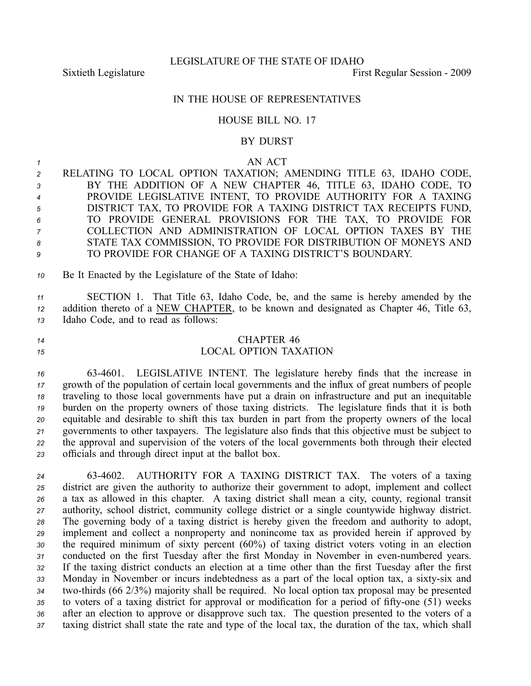Sixtieth Legislature First Regular Session - 2009

## IN THE HOUSE OF REPRESENTATIVES

## HOUSE BILL NO. 17

### BY DURST

#### *<sup>1</sup>* AN ACT

 RELATING TO LOCAL OPTION TAXATION; AMENDING TITLE 63, IDAHO CODE, BY THE ADDITION OF A NEW CHAPTER 46, TITLE 63, IDAHO CODE, TO PROVIDE LEGISLATIVE INTENT, TO PROVIDE AUTHORITY FOR A TAXING DISTRICT TAX, TO PROVIDE FOR A TAXING DISTRICT TAX RECEIPTS FUND, TO PROVIDE GENERAL PROVISIONS FOR THE TAX, TO PROVIDE FOR COLLECTION AND ADMINISTRATION OF LOCAL OPTION TAXES BY THE STATE TAX COMMISSION, TO PROVIDE FOR DISTRIBUTION OF MONEYS AND TO PROVIDE FOR CHANGE OF A TAXING DISTRICT'S BOUNDARY.

*<sup>10</sup>* Be It Enacted by the Legislature of the State of Idaho:

*<sup>11</sup>* SECTION 1. That Title 63, Idaho Code, be, and the same is hereby amended by the *<sup>12</sup>* addition thereto of <sup>a</sup> NEW CHAPTER, to be known and designated as Chapter 46, Title 63, *<sup>13</sup>* Idaho Code, and to read as follows:

# *<sup>14</sup>* CHAPTER 46

# *15* LOCAL OPTION TAXATION

 634601. LEGISLATIVE INTENT. The legislature hereby finds that the increase in growth of the population of certain local governments and the influx of grea<sup>t</sup> numbers of people traveling to those local governments have pu<sup>t</sup> <sup>a</sup> drain on infrastructure and pu<sup>t</sup> an inequitable burden on the property owners of those taxing districts. The legislature finds that it is both equitable and desirable to shift this tax burden in par<sup>t</sup> from the property owners of the local governments to other taxpayers. The legislature also finds that this objective must be subject to the approval and supervision of the voters of the local governments both through their elected officials and through direct input at the ballot box.

 634602. AUTHORITY FOR A TAXING DISTRICT TAX. The voters of <sup>a</sup> taxing district are given the authority to authorize their governmen<sup>t</sup> to adopt, implement and collect <sup>a</sup> tax as allowed in this chapter. A taxing district shall mean <sup>a</sup> city, county, regional transit authority, school district, community college district or <sup>a</sup> single countywide highway district. The governing body of <sup>a</sup> taxing district is hereby given the freedom and authority to adopt, implement and collect <sup>a</sup> nonproperty and nonincome tax as provided herein if approved by the required minimum of sixty percen<sup>t</sup> (60%) of taxing district voters voting in an election 31 conducted on the first Tuesday after the first Monday in November in even-numbered years. If the taxing district conducts an election at <sup>a</sup> time other than the first Tuesday after the first 33 Monday in November or incurs indebtedness as a part of the local option tax, a sixty-six and twothirds (66 2/3%) majority shall be required. No local option tax proposal may be presented 35 to voters of a taxing district for approval or modification for a period of fifty-one (51) weeks after an election to approve or disapprove such tax. The question presented to the voters of <sup>a</sup> taxing district shall state the rate and type of the local tax, the duration of the tax, which shall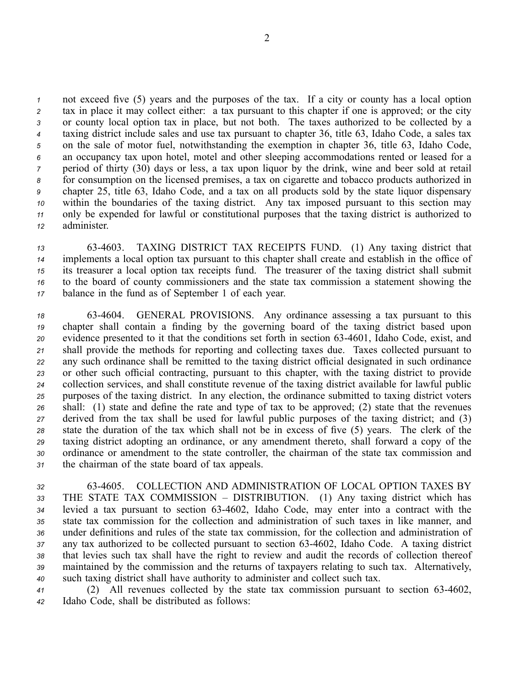not exceed five (5) years and the purposes of the tax. If <sup>a</sup> city or county has <sup>a</sup> local option tax in place it may collect either: <sup>a</sup> tax pursuan<sup>t</sup> to this chapter if one is approved; or the city or county local option tax in place, but not both. The taxes authorized to be collected by <sup>a</sup> taxing district include sales and use tax pursuan<sup>t</sup> to chapter 36, title 63, Idaho Code, <sup>a</sup> sales tax on the sale of motor fuel, notwithstanding the exemption in chapter 36, title 63, Idaho Code, an occupancy tax upon hotel, motel and other sleeping accommodations rented or leased for <sup>a</sup> period of thirty (30) days or less, <sup>a</sup> tax upon liquor by the drink, wine and beer sold at retail for consumption on the licensed premises, <sup>a</sup> tax on cigarette and tobacco products authorized in chapter 25, title 63, Idaho Code, and <sup>a</sup> tax on all products sold by the state liquor dispensary within the boundaries of the taxing district. Any tax imposed pursuan<sup>t</sup> to this section may only be expended for lawful or constitutional purposes that the taxing district is authorized to administer.

 634603. TAXING DISTRICT TAX RECEIPTS FUND. (1) Any taxing district that implements <sup>a</sup> local option tax pursuan<sup>t</sup> to this chapter shall create and establish in the office of its treasurer <sup>a</sup> local option tax receipts fund. The treasurer of the taxing district shall submit to the board of county commissioners and the state tax commission <sup>a</sup> statement showing the balance in the fund as of September 1 of each year.

 634604. GENERAL PROVISIONS. Any ordinance assessing <sup>a</sup> tax pursuan<sup>t</sup> to this chapter shall contain <sup>a</sup> finding by the governing board of the taxing district based upon evidence presented to it that the conditions set forth in section 634601, Idaho Code, exist, and shall provide the methods for reporting and collecting taxes due. Taxes collected pursuan<sup>t</sup> to any such ordinance shall be remitted to the taxing district official designated in such ordinance or other such official contracting, pursuan<sup>t</sup> to this chapter, with the taxing district to provide collection services, and shall constitute revenue of the taxing district available for lawful public purposes of the taxing district. In any election, the ordinance submitted to taxing district voters shall: (1) state and define the rate and type of tax to be approved; (2) state that the revenues derived from the tax shall be used for lawful public purposes of the taxing district; and (3) state the duration of the tax which shall not be in excess of five (5) years. The clerk of the taxing district adopting an ordinance, or any amendment thereto, shall forward <sup>a</sup> copy of the ordinance or amendment to the state controller, the chairman of the state tax commission and the chairman of the state board of tax appeals.

 634605. COLLECTION AND ADMINISTRATION OF LOCAL OPTION TAXES BY THE STATE TAX COMMISSION – DISTRIBUTION. (1) Any taxing district which has levied <sup>a</sup> tax pursuan<sup>t</sup> to section 634602, Idaho Code, may enter into <sup>a</sup> contract with the state tax commission for the collection and administration of such taxes in like manner, and under definitions and rules of the state tax commission, for the collection and administration of any tax authorized to be collected pursuan<sup>t</sup> to section 634602, Idaho Code. A taxing district that levies such tax shall have the right to review and audit the records of collection thereof maintained by the commission and the returns of taxpayers relating to such tax. Alternatively, such taxing district shall have authority to administer and collect such tax.

*<sup>41</sup>* (2) All revenues collected by the state tax commission pursuan<sup>t</sup> to section 634602, *<sup>42</sup>* Idaho Code, shall be distributed as follows: